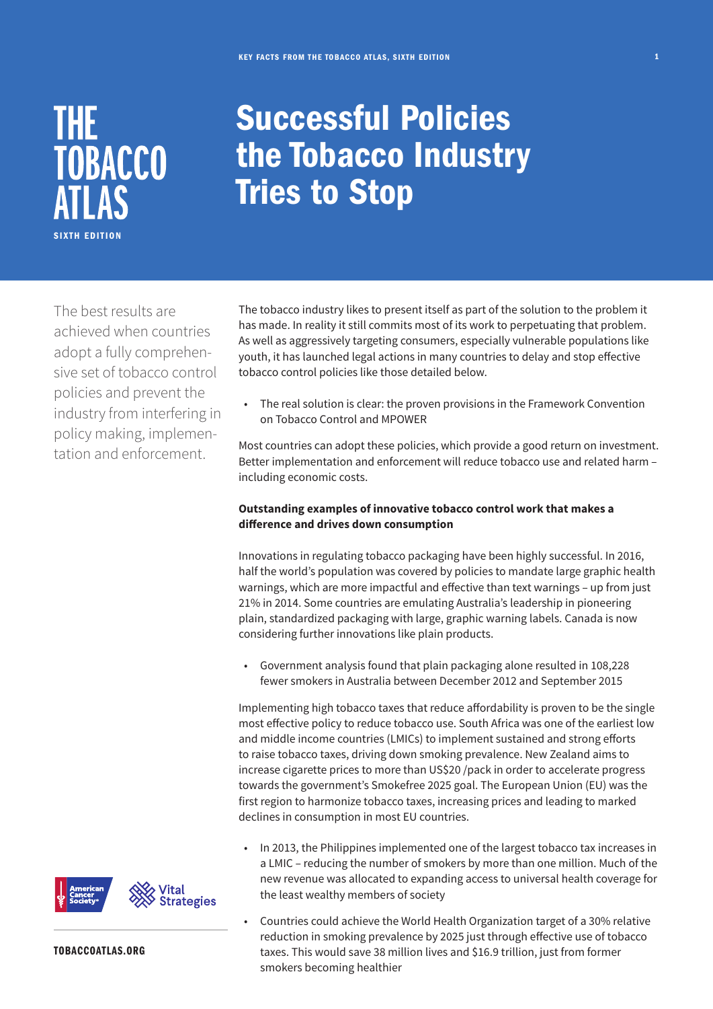

## Successful Policies the Tobacco Industry Tries to Stop

The best results are achieved when countries adopt a fully comprehensive set of tobacco control policies and prevent the industry from interfering in policy making, implementation and enforcement.

The tobacco industry likes to present itself as part of the solution to the problem it has made. In reality it still commits most of its work to perpetuating that problem. As well as aggressively targeting consumers, especially vulnerable populations like youth, it has launched legal actions in many countries to delay and stop effective tobacco control policies like those detailed below.

• The real solution is clear: the proven provisions in the Framework Convention on Tobacco Control and MPOWER

Most countries can adopt these policies, which provide a good return on investment. Better implementation and enforcement will reduce tobacco use and related harm – including economic costs.

## **Outstanding examples of innovative tobacco control work that makes a difference and drives down consumption**

Innovations in regulating tobacco packaging have been highly successful. In 2016, half the world's population was covered by policies to mandate large graphic health warnings, which are more impactful and effective than text warnings – up from just 21% in 2014. Some countries are emulating Australia's leadership in pioneering plain, standardized packaging with large, graphic warning labels. Canada is now considering further innovations like plain products.

• Government analysis found that plain packaging alone resulted in 108,228 fewer smokers in Australia between December 2012 and September 2015

Implementing high tobacco taxes that reduce affordability is proven to be the single most effective policy to reduce tobacco use. South Africa was one of the earliest low and middle income countries (LMICs) to implement sustained and strong efforts to raise tobacco taxes, driving down smoking prevalence. New Zealand aims to increase cigarette prices to more than US\$20 /pack in order to accelerate progress towards the government's Smokefree 2025 goal. The European Union (EU) was the first region to harmonize tobacco taxes, increasing prices and leading to marked declines in consumption in most EU countries.

- In 2013, the Philippines implemented one of the largest tobacco tax increases in a LMIC – reducing the number of smokers by more than one million. Much of the new revenue was allocated to expanding access to universal health coverage for the least wealthy members of society
- Countries could achieve the World Health Organization target of a 30% relative reduction in smoking prevalence by 2025 just through effective use of tobacco taxes. This would save 38 million lives and \$16.9 trillion, just from former smokers becoming healthier



TOBACCOATLAS.ORG